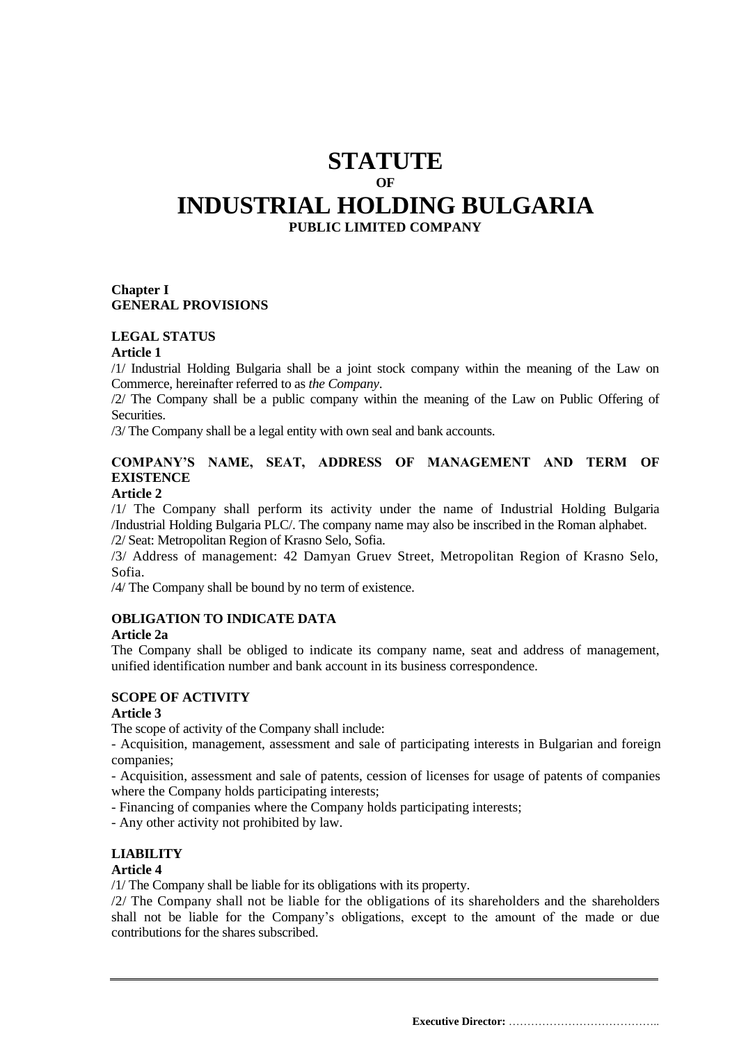## **STATUTE OF INDUSTRIAL HOLDING BULGARIA PUBLIC LIMITED COMPANY**

## **Chapter I GENERAL PROVISIONS**

## **LEGAL STATUS**

#### **Article 1**

/1/ Industrial Holding Bulgaria shall be a joint stock company within the meaning of the Law on Commerce, hereinafter referred to as *the Company*.

/2/ The Company shall be a public company within the meaning of the Law on Public Offering of Securities.

/3/ The Company shall be a legal entity with own seal and bank accounts.

## **COMPANY'S NAME, SEAT, ADDRESS OF MANAGEMENT AND TERM OF EXISTENCE**

#### **Article 2**

/1/ The Company shall perform its activity under the name of Industrial Holding Bulgaria /Industrial Holding Bulgaria PLC/. The company name may also be inscribed in the Roman alphabet. /2/ Seat: Metropolitan Region of Krasno Selo, Sofia.

/3/ Address of management: 42 Damyan Gruev Street, Metropolitan Region of Krasno Selo, Sofia.

/4/ The Company shall be bound by no term of existence.

#### **OBLIGATION TO INDICATE DATA**

## **Article 2a**

The Company shall be obliged to indicate its company name, seat and address of management, unified identification number and bank account in its business correspondence.

#### **SCOPE OF ACTIVITY**

#### **Article 3**

The scope of activity of the Company shall include:

- Acquisition, management, assessment and sale of participating interests in Bulgarian and foreign companies;

- Acquisition, assessment and sale of patents, cession of licenses for usage of patents of companies where the Company holds participating interests;

- Financing of companies where the Company holds participating interests;

- Any other activity not prohibited by law.

## **LIABILITY**

#### **Article 4**

/1/ The Company shall be liable for its obligations with its property.

/2/ The Company shall not be liable for the obligations of its shareholders and the shareholders shall not be liable for the Company's obligations, except to the amount of the made or due contributions for the shares subscribed.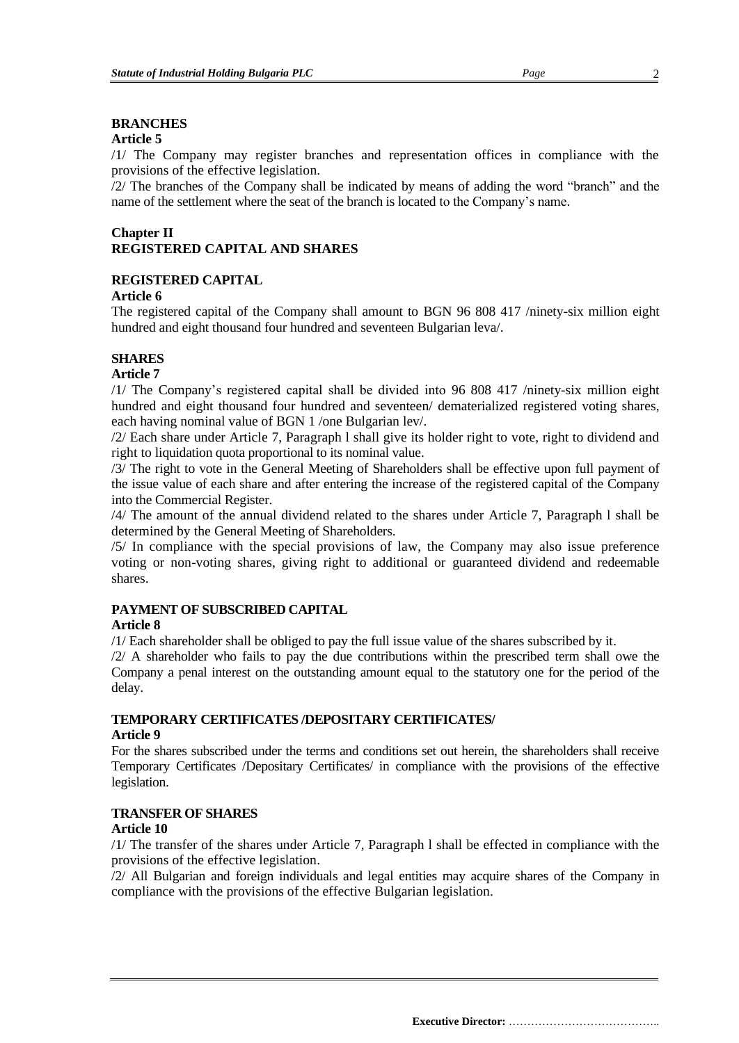## **BRANCHES**

## **Article 5**

/1/ The Company may register branches and representation offices in compliance with the provisions of the effective legislation.

/2/ The branches of the Company shall be indicated by means of adding the word "branch" and the name of the settlement where the seat of the branch is located to the Company's name.

## **Chapter II REGISTERED CAPITAL AND SHARES**

## **REGISTERED CAPITAL**

## **Article 6**

The registered capital of the Company shall amount to BGN 96 808 417 /ninety-six million eight hundred and eight thousand four hundred and seventeen Bulgarian leva/.

## **SHARES**

## **Article 7**

/1/ The Company's registered capital shall be divided into 96 808 417 /ninety-six million eight hundred and eight thousand four hundred and seventeen/ dematerialized registered voting shares, each having nominal value of BGN 1 /one Bulgarian lev/.

/2/ Each share under Article 7, Paragraph l shall give its holder right to vote, right to dividend and right to liquidation quota proportional to its nominal value.

/3/ The right to vote in the General Meeting of Shareholders shall be effective upon full payment of the issue value of each share and after entering the increase of the registered capital of the Company into the Commercial Register.

/4/ The amount of the annual dividend related to the shares under Article 7, Paragraph l shall be determined by the General Meeting of Shareholders.

/5/ In compliance with the special provisions of law, the Company may also issue preference voting or non-voting shares, giving right to additional or guaranteed dividend and redeemable shares.

## **PAYMENT OF SUBSCRIBED CAPITAL**

## **Article 8**

/1/ Each shareholder shall be obliged to pay the full issue value of the shares subscribed by it.

/2/ A shareholder who fails to pay the due contributions within the prescribed term shall owe the Company a penal interest on the outstanding amount equal to the statutory one for the period of the delay.

## **TEMPORARY CERTIFICATES /DEPOSITARY CERTIFICATES/**

## **Article 9**

For the shares subscribed under the terms and conditions set out herein, the shareholders shall receive Temporary Certificates /Depositary Certificates/ in compliance with the provisions of the effective legislation.

## **TRANSFER OF SHARES**

## **Article 10**

/1/ The transfer of the shares under Article 7, Paragraph l shall be effected in compliance with the provisions of the effective legislation.

/2/ All Bulgarian and foreign individuals and legal entities may acquire shares of the Company in compliance with the provisions of the effective Bulgarian legislation.

**Executive Director:** …………………………………..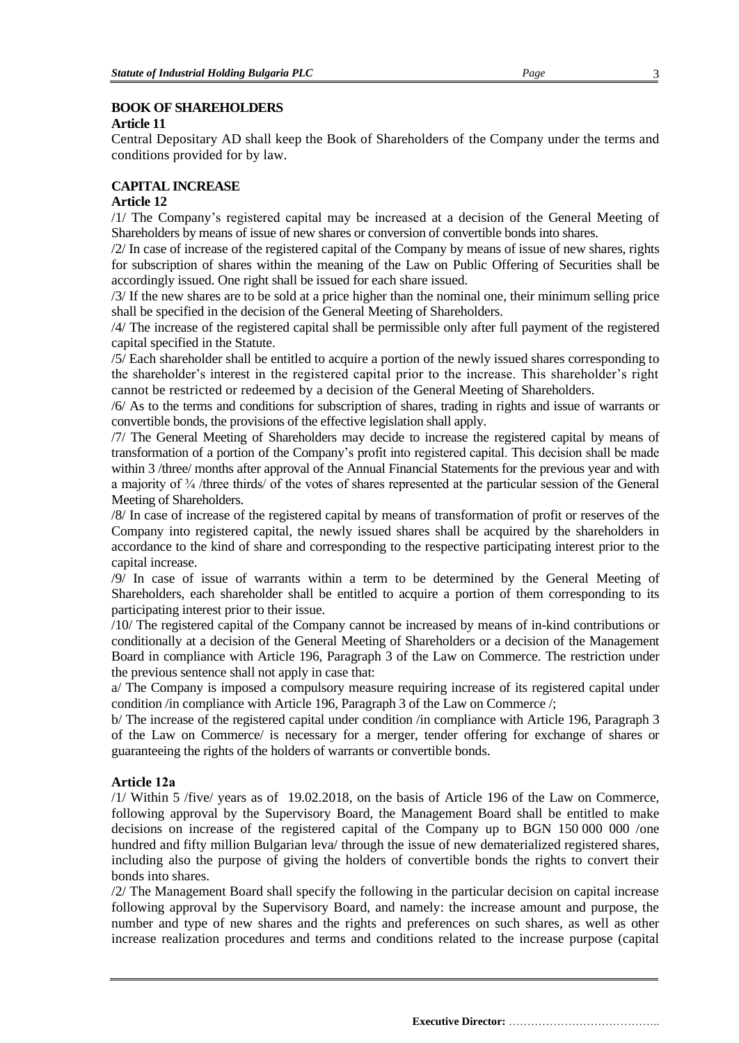## **BOOK OF SHAREHOLDERS**

#### **Article 11**

Central Depositary AD shall keep the Book of Shareholders of the Company under the terms and conditions provided for by law.

## **CAPITAL INCREASE**

## **Article 12**

/1/ The Company's registered capital may be increased at a decision of the General Meeting of Shareholders by means of issue of new shares or conversion of convertible bonds into shares.

/2/ In case of increase of the registered capital of the Company by means of issue of new shares, rights for subscription of shares within the meaning of the Law on Public Offering of Securities shall be accordingly issued. One right shall be issued for each share issued.

/3/ If the new shares are to be sold at a price higher than the nominal one, their minimum selling price shall be specified in the decision of the General Meeting of Shareholders.

/4/ The increase of the registered capital shall be permissible only after full payment of the registered capital specified in the Statute.

/5/ Each shareholder shall be entitled to acquire a portion of the newly issued shares corresponding to the shareholder's interest in the registered capital prior to the increase. This shareholder's right cannot be restricted or redeemed by a decision of the General Meeting of Shareholders.

/6/ As to the terms and conditions for subscription of shares, trading in rights and issue of warrants or convertible bonds, the provisions of the effective legislation shall apply.

/7/ The General Meeting of Shareholders may decide to increase the registered capital by means of transformation of a portion of the Company's profit into registered capital. This decision shall be made within 3 /three/ months after approval of the Annual Financial Statements for the previous year and with a majority of ¾ /three thirds/ of the votes of shares represented at the particular session of the General Meeting of Shareholders.

/8/ In case of increase of the registered capital by means of transformation of profit or reserves of the Company into registered capital, the newly issued shares shall be acquired by the shareholders in accordance to the kind of share and corresponding to the respective participating interest prior to the capital increase.

/9/ In case of issue of warrants within a term to be determined by the General Meeting of Shareholders, each shareholder shall be entitled to acquire a portion of them corresponding to its participating interest prior to their issue.

/10/ The registered capital of the Company cannot be increased by means of in-kind contributions or conditionally at a decision of the General Meeting of Shareholders or a decision of the Management Board in compliance with Article 196, Paragraph 3 of the Law on Commerce. The restriction under the previous sentence shall not apply in case that:

a/ The Company is imposed a compulsory measure requiring increase of its registered capital under condition /in compliance with Article 196, Paragraph 3 of the Law on Commerce /;

b/ The increase of the registered capital under condition /in compliance with Article 196, Paragraph 3 of the Law on Commerce/ is necessary for a merger, tender offering for exchange of shares or guaranteeing the rights of the holders of warrants or convertible bonds.

## **Article 12а**

/1/ Within 5 /five/ years as of 19.02.2018, on the basis of Article 196 of the Law on Commerce, following approval by the Supervisory Board, the Management Board shall be entitled to make decisions on increase of the registered capital of the Company up to BGN 150 000 000 /one hundred and fifty million Bulgarian leva/ through the issue of new dematerialized registered shares, including also the purpose of giving the holders of convertible bonds the rights to convert their bonds into shares.

/2/ The Management Board shall specify the following in the particular decision on capital increase following approval by the Supervisory Board, and namely: the increase amount and purpose, the number and type of new shares and the rights and preferences on such shares, as well as other increase realization procedures and terms and conditions related to the increase purpose (capital

**Executive Director:** …………………………………..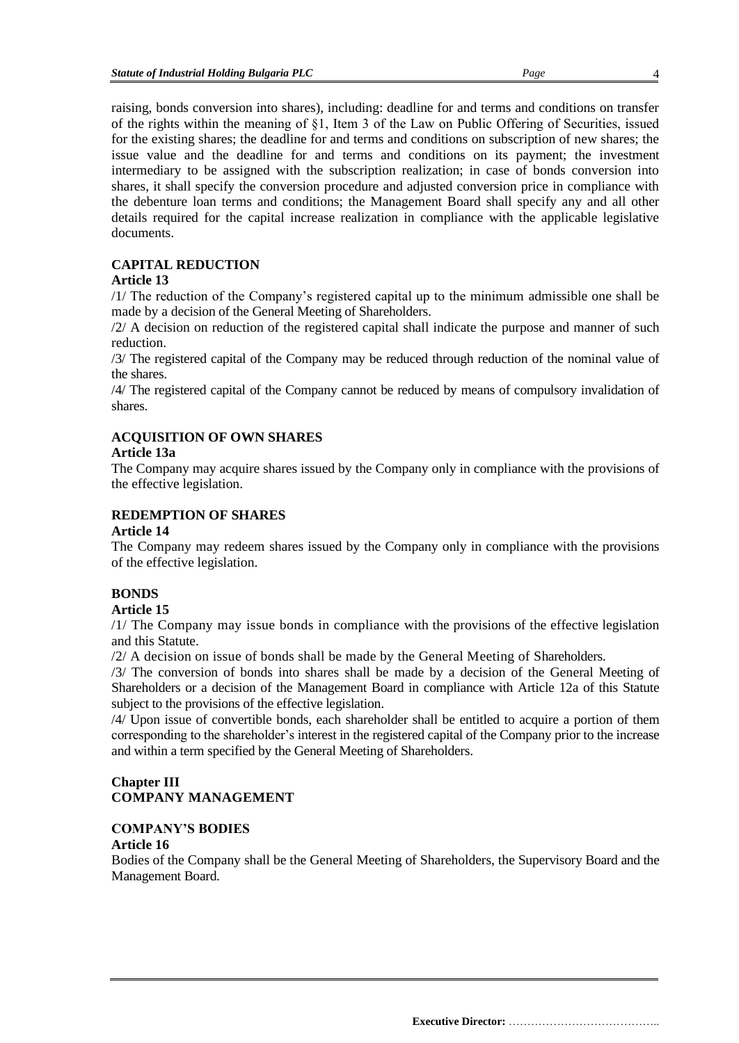raising, bonds conversion into shares), including: deadline for and terms and conditions on transfer of the rights within the meaning of §1, Item 3 of the Law on Public Offering of Securities, issued for the existing shares; the deadline for and terms and conditions on subscription of new shares; the issue value and the deadline for and terms and conditions on its payment; the investment intermediary to be assigned with the subscription realization; in case of bonds conversion into shares, it shall specify the conversion procedure and adjusted conversion price in compliance with the debenture loan terms and conditions; the Management Board shall specify any and all other details required for the capital increase realization in compliance with the applicable legislative documents.

## **CAPITAL REDUCTION**

## **Article 13**

/1/ The reduction of the Company's registered capital up to the minimum admissible one shall be made by a decision of the General Meeting of Shareholders.

/2/ A decision on reduction of the registered capital shall indicate the purpose and manner of such reduction.

/3/ The registered capital of the Company may be reduced through reduction of the nominal value of the shares.

/4/ The registered capital of the Company cannot be reduced by means of compulsory invalidation of shares.

## **ACQUISITION OF OWN SHARES**

## **Article 13a**

The Company may acquire shares issued by the Company only in compliance with the provisions of the effective legislation.

## **REDEMPTION OF SHARES**

## **Article 14**

The Company may redeem shares issued by the Company only in compliance with the provisions of the effective legislation.

## **BONDS**

## **Article 15**

/1/ The Company may issue bonds in compliance with the provisions of the effective legislation and this Statute.

/2/ A decision on issue of bonds shall be made by the General Meeting of Shareholders.

/3/ The conversion of bonds into shares shall be made by a decision of the General Meeting of Shareholders or a decision of the Management Board in compliance with Article 12a of this Statute subject to the provisions of the effective legislation.

/4/ Upon issue of convertible bonds, each shareholder shall be entitled to acquire a portion of them corresponding to the shareholder's interest in the registered capital of the Company prior to the increase and within a term specified by the General Meeting of Shareholders.

## **Chapter III COMPANY MANAGEMENT**

## **COMPANY'S BODIES**

## **Article 16**

Bodies of the Company shall be the General Meeting of Shareholders, the Supervisory Board and the Management Board.

**Executive Director:** …………………………………..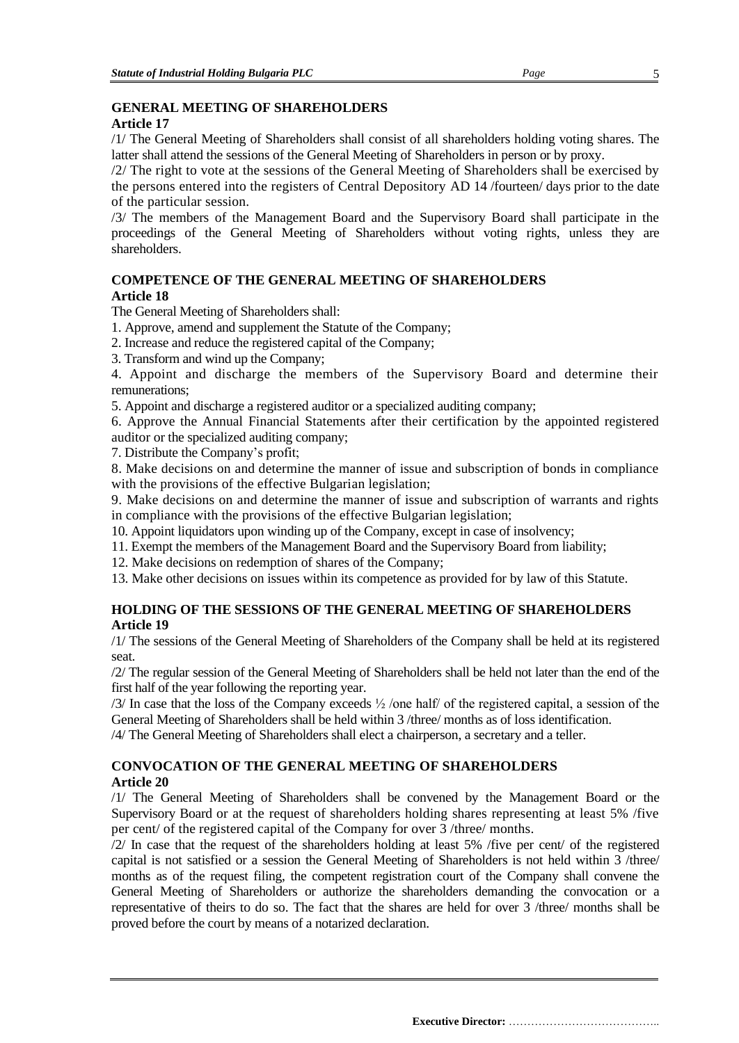## **GENERAL MEETING OF SHAREHOLDERS**

## **Article 17**

/1/ The General Meeting of Shareholders shall consist of all shareholders holding voting shares. The latter shall attend the sessions of the General Meeting of Shareholders in person or by proxy.

/2/ The right to vote at the sessions of the General Meeting of Shareholders shall be exercised by the persons entered into the registers of Central Depository AD 14 /fourteen/ days prior to the date of the particular session.

/3/ The members of the Management Board and the Supervisory Board shall participate in the proceedings of the General Meeting of Shareholders without voting rights, unless they are shareholders.

#### **COMPETENCE OF THE GENERAL MEETING OF SHAREHOLDERS Article 18**

The General Meeting of Shareholders shall:

- 1. Approve, amend and supplement the Statute of the Company;
- 2. Increase and reduce the registered capital of the Company;
- 3. Transform and wind up the Company;

4. Appoint and discharge the members of the Supervisory Board and determine their remunerations;

5. Appoint and discharge a registered auditor or a specialized auditing company;

6. Approve the Annual Financial Statements after their certification by the appointed registered auditor or the specialized auditing company;

7. Distribute the Company's profit;

8. Make decisions on and determine the manner of issue and subscription of bonds in compliance with the provisions of the effective Bulgarian legislation;

9. Make decisions on and determine the manner of issue and subscription of warrants and rights in compliance with the provisions of the effective Bulgarian legislation;

10. Appoint liquidators upon winding up of the Company, except in case of insolvency;

11. Exempt the members of the Management Board and the Supervisory Board from liability;

12. Make decisions on redemption of shares of the Company;

13. Make other decisions on issues within its competence as provided for by law of this Statute.

## **HOLDING OF THE SESSIONS OF THE GENERAL MEETING OF SHAREHOLDERS Article 19**

/1/ The sessions of the General Meeting of Shareholders of the Company shall be held at its registered seat.

/2/ The regular session of the General Meeting of Shareholders shall be held not later than the end of the first half of the year following the reporting year.

/3/ In case that the loss of the Company exceeds ½ /one half/ of the registered capital, a session of the General Meeting of Shareholders shall be held within 3 /three/ months as of loss identification.

/4/ The General Meeting of Shareholders shall elect a chairperson, a secretary and a teller.

## **CONVOCATION OF THE GENERAL MEETING OF SHAREHOLDERS Article 20**

/1/ The General Meeting of Shareholders shall be convened by the Management Board or the Supervisory Board or at the request of shareholders holding shares representing at least 5% /five per cent/ of the registered capital of the Company for over 3 /three/ months.

/2/ In case that the request of the shareholders holding at least 5% /five per cent/ of the registered capital is not satisfied or a session the General Meeting of Shareholders is not held within 3 /three/ months as of the request filing, the competent registration court of the Company shall convene the General Meeting of Shareholders or authorize the shareholders demanding the convocation or a representative of theirs to do so. The fact that the shares are held for over 3 /three/ months shall be proved before the court by means of a notarized declaration.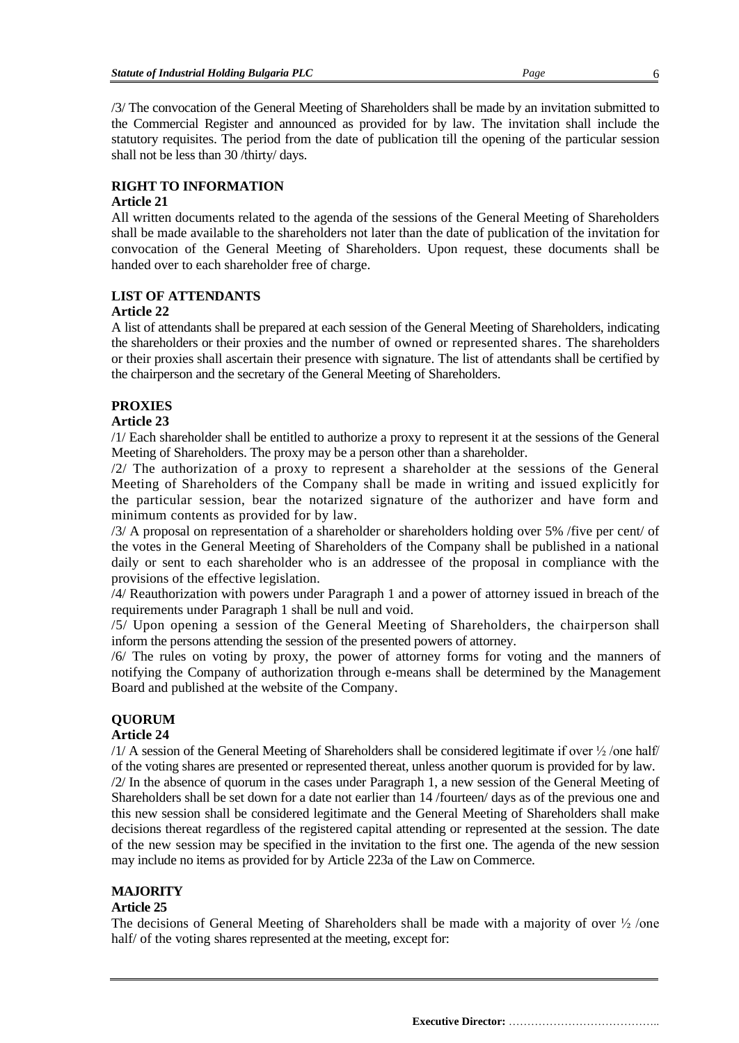/3/ The convocation of the General Meeting of Shareholders shall be made by an invitation submitted to

the Commercial Register and announced as provided for by law. The invitation shall include the statutory requisites. The period from the date of publication till the opening of the particular session shall not be less than 30 /thirty/ days.

## **RIGHT TO INFORMATION**

## **Article 21**

All written documents related to the agenda of the sessions of the General Meeting of Shareholders shall be made available to the shareholders not later than the date of publication of the invitation for convocation of the General Meeting of Shareholders. Upon request, these documents shall be handed over to each shareholder free of charge.

## **LIST OF ATTENDANTS**

## **Article 22**

A list of attendants shall be prepared at each session of the General Meeting of Shareholders, indicating the shareholders or their proxies and the number of owned or represented shares. The shareholders or their proxies shall ascertain their presence with signature. The list of attendants shall be certified by the chairperson and the secretary of the General Meeting of Shareholders.

## **PROXIES**

## **Article 23**

/1/ Each shareholder shall be entitled to authorize a proxy to represent it at the sessions of the General Meeting of Shareholders. The proxy may be a person other than a shareholder.

/2/ The authorization of a proxy to represent a shareholder at the sessions of the General Meeting of Shareholders of the Company shall be made in writing and issued explicitly for the particular session, bear the notarized signature of the authorizer and have form and minimum contents as provided for by law.

/3/ A proposal on representation of a shareholder or shareholders holding over 5% /five per cent/ of the votes in the General Meeting of Shareholders of the Company shall be published in a national daily or sent to each shareholder who is an addressee of the proposal in compliance with the provisions of the effective legislation.

/4/ Reauthorization with powers under Paragraph 1 and a power of attorney issued in breach of the requirements under Paragraph 1 shall be null and void.

/5/ Upon opening a session of the General Meeting of Shareholders, the chairperson shall inform the persons attending the session of the presented powers of attorney.

/6/ The rules on voting by proxy, the power of attorney forms for voting and the manners of notifying the Company of authorization through e-means shall be determined by the Management Board and published at the website of the Company.

## **QUORUM**

## **Article 24**

 $/1/$  A session of the General Meeting of Shareholders shall be considered legitimate if over  $\frac{1}{2}$ /one half/ of the voting shares are presented or represented thereat, unless another quorum is provided for by law.

/2/ In the absence of quorum in the cases under Paragraph 1, a new session of the General Meeting of Shareholders shall be set down for a date not earlier than 14 /fourteen/ days as of the previous one and this new session shall be considered legitimate and the General Meeting of Shareholders shall make decisions thereat regardless of the registered capital attending or represented at the session. The date of the new session may be specified in the invitation to the first one. The agenda of the new session may include no items as provided for by Article 223a of the Law on Commerce.

## **MAJORITY**

## **Article 25**

The decisions of General Meeting of Shareholders shall be made with a majority of over  $\frac{1}{2}$  /one half/ of the voting shares represented at the meeting, except for: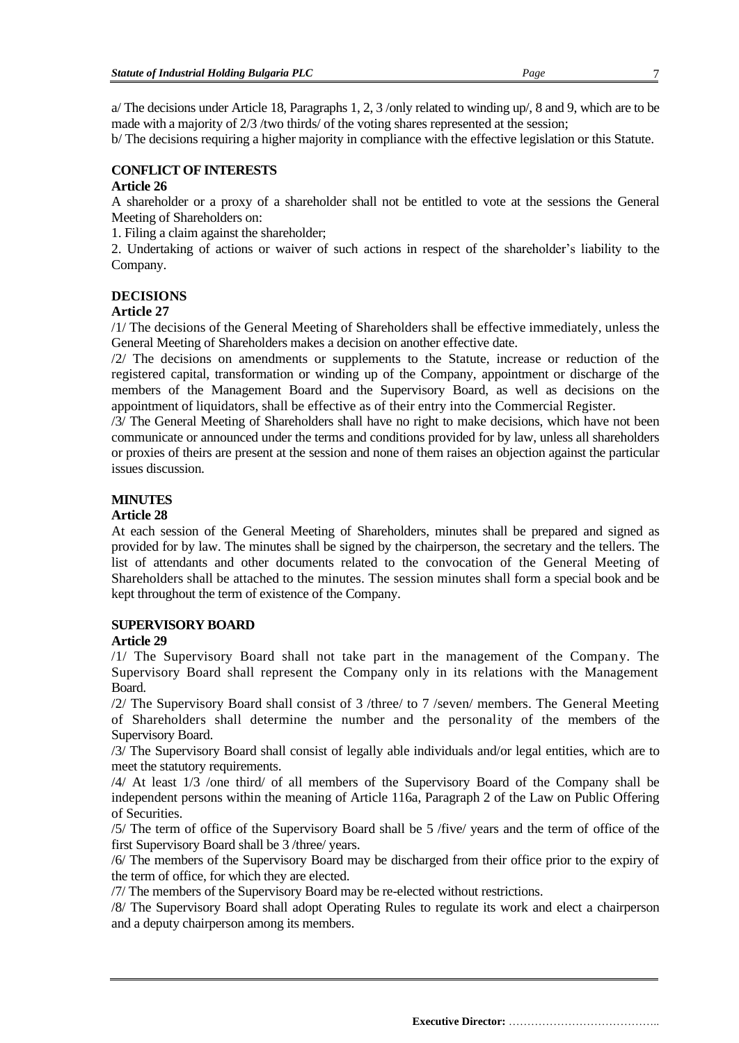a/ The decisions under Article 18, Paragraphs 1, 2, 3 /only related to winding up/, 8 and 9, which are to be made with a majority of 2/3 /two thirds/ of the voting shares represented at the session;

b/ The decisions requiring a higher majority in compliance with the effective legislation or this Statute.

## **CONFLICT OF INTERESTS**

#### **Article 26**

A shareholder or a proxy of a shareholder shall not be entitled to vote at the sessions the General Meeting of Shareholders on:

1. Filing a claim against the shareholder;

2. Undertaking of actions or waiver of such actions in respect of the shareholder's liability to the Company.

#### **DECISIONS**

## **Article 27**

/1/ The decisions of the General Meeting of Shareholders shall be effective immediately, unless the General Meeting of Shareholders makes a decision on another effective date.

/2/ The decisions on amendments or supplements to the Statute, increase or reduction of the registered capital, transformation or winding up of the Company, appointment or discharge of the members of the Management Board and the Supervisory Board, as well as decisions on the appointment of liquidators, shall be effective as of their entry into the Commercial Register.

/3/ The General Meeting of Shareholders shall have no right to make decisions, which have not been communicate or announced under the terms and conditions provided for by law, unless all shareholders or proxies of theirs are present at the session and none of them raises an objection against the particular issues discussion.

#### **MINUTES**

#### **Article 28**

At each session of the General Meeting of Shareholders, minutes shall be prepared and signed as provided for by law. The minutes shall be signed by the chairperson, the secretary and the tellers. The list of attendants and other documents related to the convocation of the General Meeting of Shareholders shall be attached to the minutes. The session minutes shall form a special book and be kept throughout the term of existence of the Company.

## **SUPERVISORY BOARD**

#### **Article 29**

/1/ The Supervisory Board shall not take part in the management of the Company. The Supervisory Board shall represent the Company only in its relations with the Management Board.

/2/ The Supervisory Board shall consist of 3 /three/ to 7 /seven/ members. The General Meeting of Shareholders shall determine the number and the personality of the members of the Supervisory Board.

/3/ The Supervisory Board shall consist of legally able individuals and/or legal entities, which are to meet the statutory requirements.

/4/ At least 1/3 /one third/ of all members of the Supervisory Board of the Company shall be independent persons within the meaning of Article 116a, Paragraph 2 of the Law on Public Offering of Securities.

/5/ The term of office of the Supervisory Board shall be 5 /five/ years and the term of office of the first Supervisory Board shall be 3 /three/ years.

/6/ The members of the Supervisory Board may be discharged from their office prior to the expiry of the term of office, for which they are elected.

/7/ The members of the Supervisory Board may be re-elected without restrictions.

/8/ The Supervisory Board shall adopt Operating Rules to regulate its work and elect a chairperson and a deputy chairperson among its members.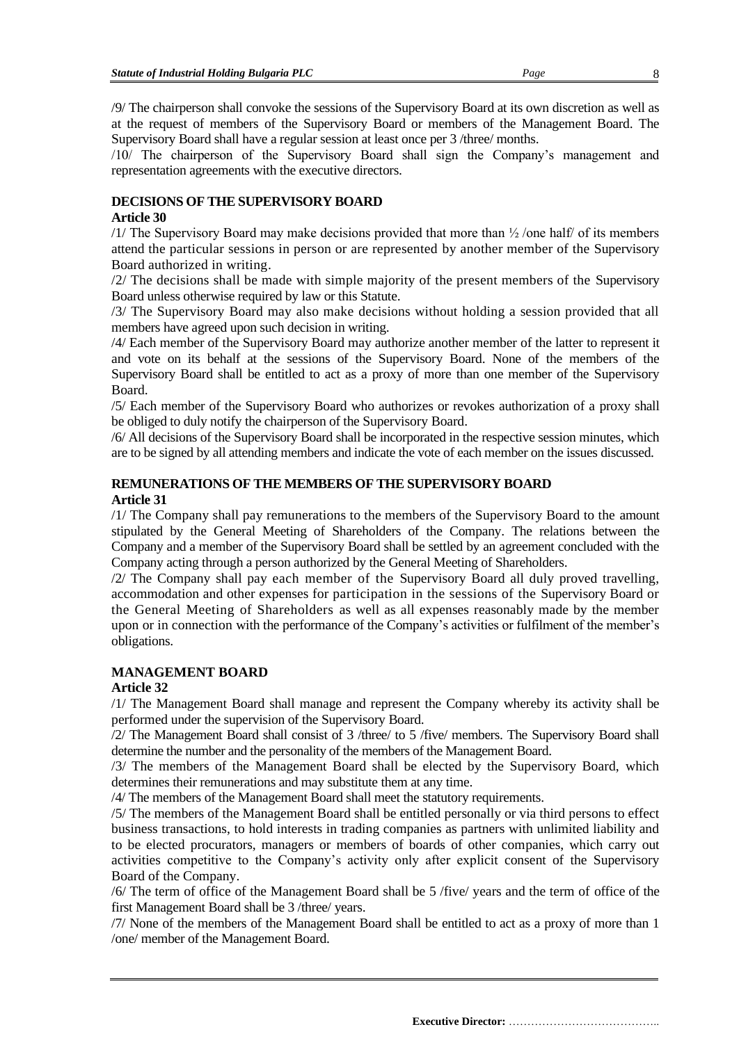/9/ The chairperson shall convoke the sessions of the Supervisory Board at its own discretion as well as at the request of members of the Supervisory Board or members of the Management Board. The Supervisory Board shall have a regular session at least once per 3 /three/ months.

/10/ The chairperson of the Supervisory Board shall sign the Company's management and representation agreements with the executive directors.

#### **DECISIONS OF THE SUPERVISORY BOARD**

## **Article 30**

/1/ The Supervisory Board may make decisions provided that more than  $\frac{1}{2}$  /one half/ of its members attend the particular sessions in person or are represented by another member of the Supervisory Board authorized in writing.

/2/ The decisions shall be made with simple majority of the present members of the Supervisory Board unless otherwise required by law or this Statute.

/3/ The Supervisory Board may also make decisions without holding a session provided that all members have agreed upon such decision in writing.

/4/ Each member of the Supervisory Board may authorize another member of the latter to represent it and vote on its behalf at the sessions of the Supervisory Board. None of the members of the Supervisory Board shall be entitled to act as a proxy of more than one member of the Supervisory Board.

/5/ Each member of the Supervisory Board who authorizes or revokes authorization of a proxy shall be obliged to duly notify the chairperson of the Supervisory Board.

/6/ All decisions of the Supervisory Board shall be incorporated in the respective session minutes, which are to be signed by all attending members and indicate the vote of each member on the issues discussed.

# **REMUNERATIONS OF THE MEMBERS OF THE SUPERVISORY BOARD**

#### **Article 31**

/1/ The Company shall pay remunerations to the members of the Supervisory Board to the amount stipulated by the General Meeting of Shareholders of the Company. The relations between the Company and a member of the Supervisory Board shall be settled by an agreement concluded with the Company acting through a person authorized by the General Meeting of Shareholders.

/2/ The Company shall pay each member of the Supervisory Board all duly proved travelling, accommodation and other expenses for participation in the sessions of the Supervisory Board or the General Meeting of Shareholders as well as all expenses reasonably made by the member upon or in connection with the performance of the Company's activities or fulfilment of the member's obligations.

## **MANAGEMENT BOARD**

#### **Article 32**

/1/ The Management Board shall manage and represent the Company whereby its activity shall be performed under the supervision of the Supervisory Board.

/2/ The Management Board shall consist of 3 /three/ to 5 /five/ members. The Supervisory Board shall determine the number and the personality of the members of the Management Board.

/3/ The members of the Management Board shall be elected by the Supervisory Board, which determines their remunerations and may substitute them at any time.

/4/ The members of the Management Board shall meet the statutory requirements.

/5/ The members of the Management Board shall be entitled personally or via third persons to effect business transactions, to hold interests in trading companies as partners with unlimited liability and to be elected procurators, managers or members of boards of other companies, which carry out activities competitive to the Company's activity only after explicit consent of the Supervisory Board of the Company.

/6/ The term of office of the Management Board shall be 5 /five/ years and the term of office of the first Management Board shall be 3 /three/ years.

/7/ None of the members of the Management Board shall be entitled to act as a proxy of more than 1 /one/ member of the Management Board.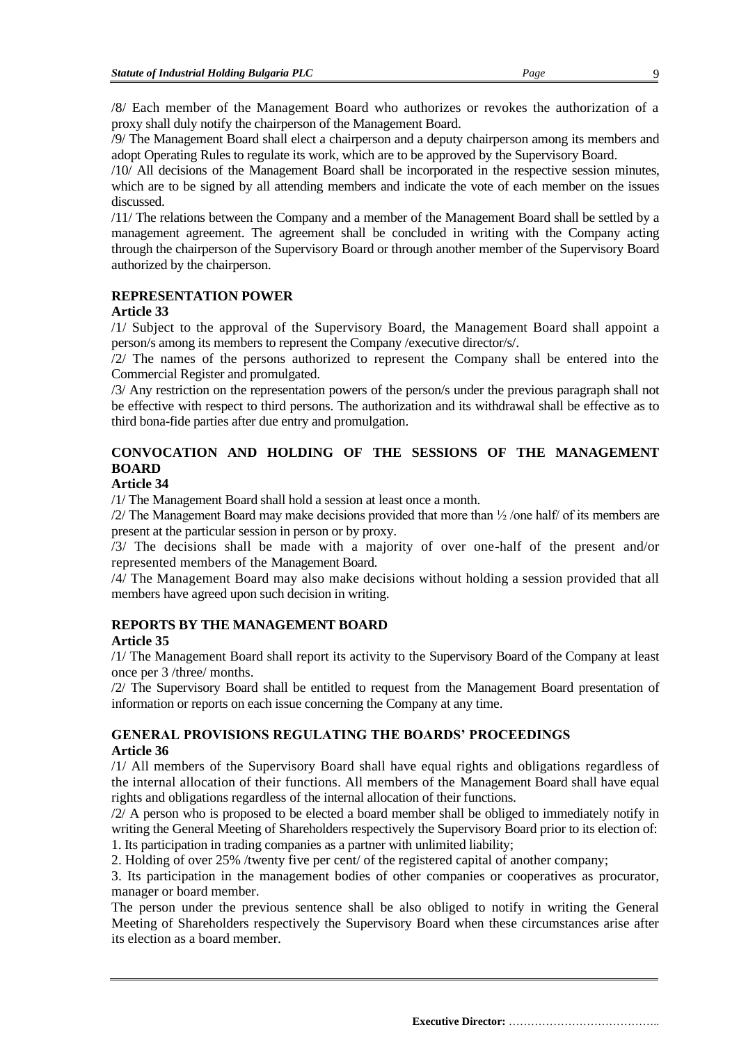/8/ Each member of the Management Board who authorizes or revokes the authorization of a proxy shall duly notify the chairperson of the Management Board.

/9/ The Management Board shall elect a chairperson and a deputy chairperson among its members and adopt Operating Rules to regulate its work, which are to be approved by the Supervisory Board.

/10/ All decisions of the Management Board shall be incorporated in the respective session minutes, which are to be signed by all attending members and indicate the vote of each member on the issues discussed.

/11/ The relations between the Company and a member of the Management Board shall be settled by a management agreement. The agreement shall be concluded in writing with the Company acting through the chairperson of the Supervisory Board or through another member of the Supervisory Board authorized by the chairperson.

## **REPRESENTATION POWER**

## **Article 33**

/1/ Subject to the approval of the Supervisory Board, the Management Board shall appoint a person/s among its members to represent the Company /executive director/s/.

/2/ The names of the persons authorized to represent the Company shall be entered into the Commercial Register and promulgated.

/3/ Any restriction on the representation powers of the person/s under the previous paragraph shall not be effective with respect to third persons. The authorization and its withdrawal shall be effective as to third bona-fide parties after due entry and promulgation.

## **CONVOCATION AND HOLDING OF THE SESSIONS OF THE MANAGEMENT BOARD**

## **Article 34**

/1/ The Management Board shall hold a session at least once a month.

/2/ The Management Board may make decisions provided that more than ½ /one half/ of its members are present at the particular session in person or by proxy.

/3/ The decisions shall be made with a majority of over one-half of the present and/or represented members of the Management Board.

/4/ The Management Board may also make decisions without holding a session provided that all members have agreed upon such decision in writing.

#### **REPORTS BY THE MANAGEMENT BOARD Article 35**

/1/ The Management Board shall report its activity to the Supervisory Board of the Company at least once per 3 /three/ months.

/2/ The Supervisory Board shall be entitled to request from the Management Board presentation of information or reports on each issue concerning the Company at any time.

## **GENERAL PROVISIONS REGULATING THE BOARDS' PROCEEDINGS Article 36**

/1/ All members of the Supervisory Board shall have equal rights and obligations regardless of the internal allocation of their functions. All members of the Management Board shall have equal rights and obligations regardless of the internal allocation of their functions.

/2/ A person who is proposed to be elected a board member shall be obliged to immediately notify in writing the General Meeting of Shareholders respectively the Supervisory Board prior to its election of: 1. Its participation in trading companies as a partner with unlimited liability;

2. Holding of over 25% /twenty five per cent/ of the registered capital of another company;

3. Its participation in the management bodies of other companies or cooperatives as procurator, manager or board member.

The person under the previous sentence shall be also obliged to notify in writing the General Meeting of Shareholders respectively the Supervisory Board when these circumstances arise after its election as a board member.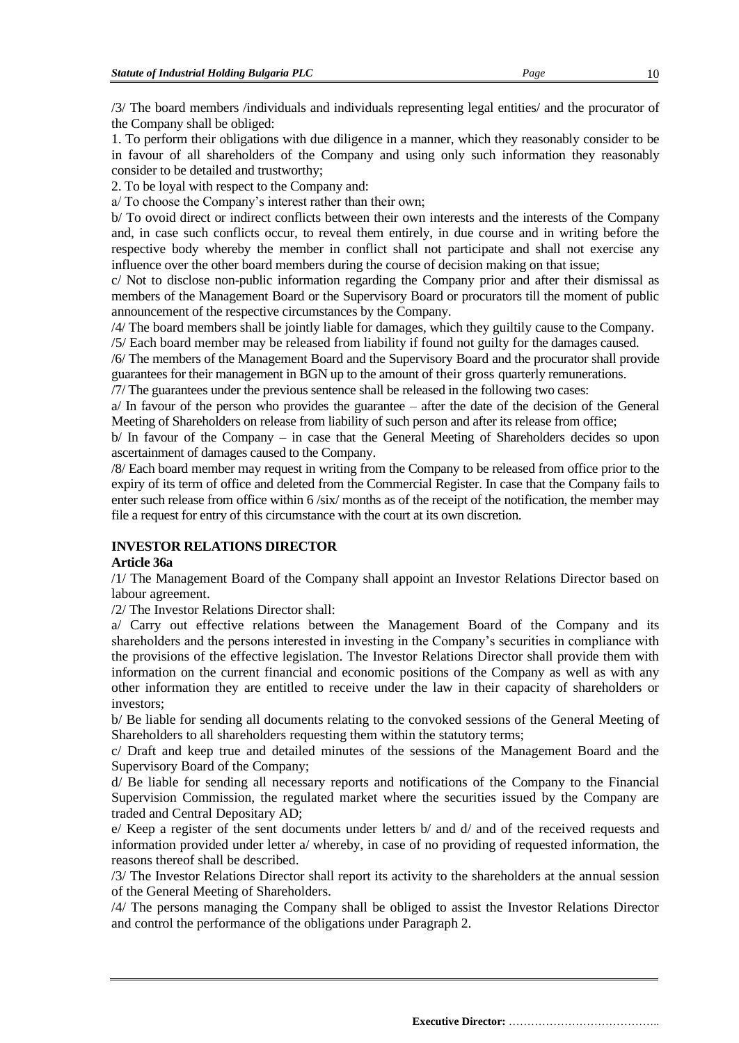/3/ The board members /individuals and individuals representing legal entities/ and the procurator of the Company shall be obliged:

1. To perform their obligations with due diligence in a manner, which they reasonably consider to be in favour of all shareholders of the Company and using only such information they reasonably consider to be detailed and trustworthy;

2. To be loyal with respect to the Company and:

a/ To choose the Company's interest rather than their own;

b/ To ovoid direct or indirect conflicts between their own interests and the interests of the Company and, in case such conflicts occur, to reveal them entirely, in due course and in writing before the respective body whereby the member in conflict shall not participate and shall not exercise any influence over the other board members during the course of decision making on that issue;

c/ Not to disclose non-public information regarding the Company prior and after their dismissal as members of the Management Board or the Supervisory Board or procurators till the moment of public announcement of the respective circumstances by the Company.

/4/ The board members shall be jointly liable for damages, which they guiltily cause to the Company. /5/ Each board member may be released from liability if found not guilty for the damages caused.

/6/ The members of the Management Board and the Supervisory Board and the procurator shall provide guarantees for their management in BGN up to the amount of their gross quarterly remunerations.

/7/ The guarantees under the previous sentence shall be released in the following two cases:

a/ In favour of the person who provides the guarantee – after the date of the decision of the General Meeting of Shareholders on release from liability of such person and after its release from office;

b/ In favour of the Company – in case that the General Meeting of Shareholders decides so upon ascertainment of damages caused to the Company.

/8/ Each board member may request in writing from the Company to be released from office prior to the expiry of its term of office and deleted from the Commercial Register. In case that the Company fails to enter such release from office within 6 /six/ months as of the receipt of the notification, the member may file a request for entry of this circumstance with the court at its own discretion.

## **INVESTOR RELATIONS DIRECTOR**

## **Article 36a**

/1/ The Management Board of the Company shall appoint an Investor Relations Director based on labour agreement.

/2/ The Investor Relations Director shall:

a/ Carry out effective relations between the Management Board of the Company and its shareholders and the persons interested in investing in the Company's securities in compliance with the provisions of the effective legislation. The Investor Relations Director shall provide them with information on the current financial and economic positions of the Company as well as with any other information they are entitled to receive under the law in their capacity of shareholders or investors;

b/ Be liable for sending all documents relating to the convoked sessions of the General Meeting of Shareholders to all shareholders requesting them within the statutory terms;

c/ Draft and keep true and detailed minutes of the sessions of the Management Board and the Supervisory Board of the Company;

d/ Be liable for sending all necessary reports and notifications of the Company to the Financial Supervision Commission, the regulated market where the securities issued by the Company are traded and Central Depositary AD;

e/ Keep a register of the sent documents under letters b/ and d/ and of the received requests and information provided under letter a/ whereby, in case of no providing of requested information, the reasons thereof shall be described.

/3/ The Investor Relations Director shall report its activity to the shareholders at the annual session of the General Meeting of Shareholders.

/4/ The persons managing the Company shall be obliged to assist the Investor Relations Director and control the performance of the obligations under Paragraph 2.

**Executive Director:** …………………………………..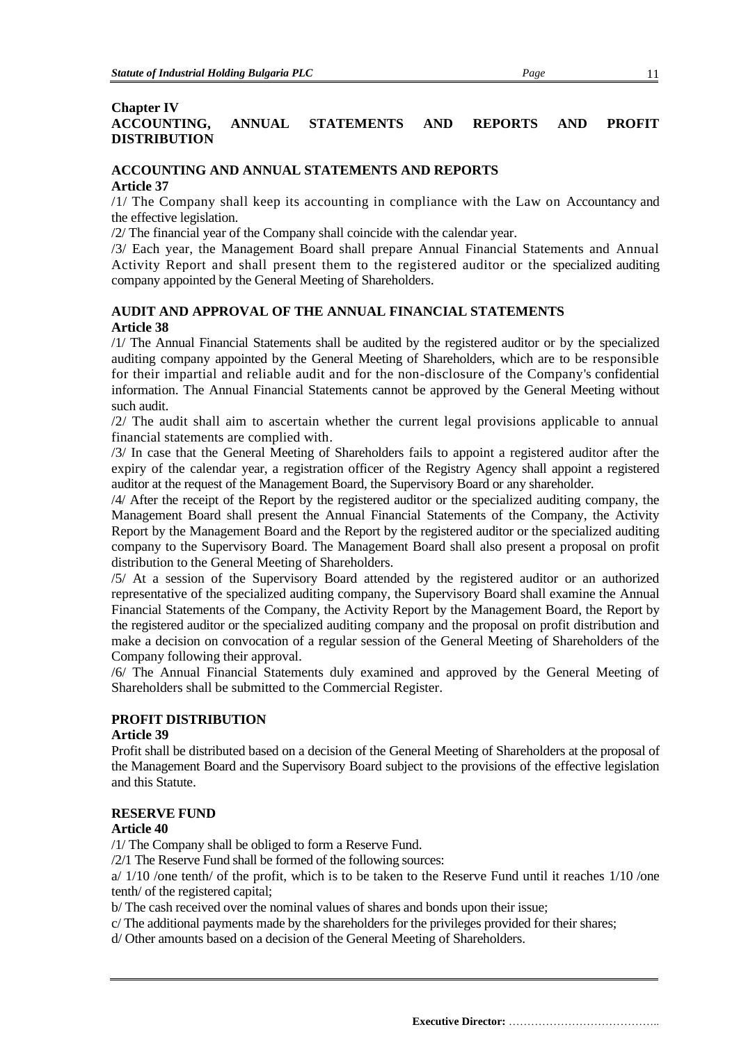#### **Chapter IV**

## **ACCOUNTING, ANNUAL STATEMENTS AND REPORTS AND PROFIT DISTRIBUTION**

## **ACCOUNTING AND ANNUAL STATEMENTS AND REPORTS Article 37**

/1/ The Company shall keep its accounting in compliance with the Law on Accountancy and the effective legislation.

/2/ The financial year of the Company shall coincide with the calendar year.

/3/ Each year, the Management Board shall prepare Annual Financial Statements and Annual Activity Report and shall present them to the registered auditor or the specialized auditing company appointed by the General Meeting of Shareholders.

## **AUDIT AND APPROVAL OF THE ANNUAL FINANCIAL STATEMENTS Article 38**

/1/ The Annual Financial Statements shall be audited by the registered auditor or by the specialized auditing company appointed by the General Meeting of Shareholders, which are to be responsible for their impartial and reliable audit and for the non-disclosure of the Company's confidential information. The Annual Financial Statements cannot be approved by the General Meeting without such audit.

/2/ The audit shall aim to ascertain whether the current legal provisions applicable to annual financial statements are complied with.

/3/ In case that the General Meeting of Shareholders fails to appoint a registered auditor after the expiry of the calendar year, a registration officer of the Registry Agency shall appoint a registered auditor at the request of the Management Board, the Supervisory Board or any shareholder.

/4/ After the receipt of the Report by the registered auditor or the specialized auditing company, the Management Board shall present the Annual Financial Statements of the Company, the Activity Report by the Management Board and the Report by the registered auditor or the specialized auditing company to the Supervisory Board. The Management Board shall also present a proposal on profit distribution to the General Meeting of Shareholders.

/5/ At a session of the Supervisory Board attended by the registered auditor or an authorized representative of the specialized auditing company, the Supervisory Board shall examine the Annual Financial Statements of the Company, the Activity Report by the Management Board, the Report by the registered auditor or the specialized auditing company and the proposal on profit distribution and make a decision on convocation of a regular session of the General Meeting of Shareholders of the Company following their approval.

/6/ The Annual Financial Statements duly examined and approved by the General Meeting of Shareholders shall be submitted to the Commercial Register.

## **PROFIT DISTRIBUTION**

#### **Article 39**

Profit shall be distributed based on a decision of the General Meeting of Shareholders at the proposal of the Management Board and the Supervisory Board subject to the provisions of the effective legislation and this Statute.

#### **RESERVE FUND**

#### **Article 40**

/1/ The Company shall be obliged to form a Reserve Fund.

/2/1 The Reserve Fund shall be formed of the following sources:

 $a/ 1/10$  /one tenth/ of the profit, which is to be taken to the Reserve Fund until it reaches  $1/10$  /one tenth/ of the registered capital;

b/ The cash received over the nominal values of shares and bonds upon their issue;

c/ The additional payments made by the shareholders for the privileges provided for their shares;

d/ Other amounts based on a decision of the General Meeting of Shareholders.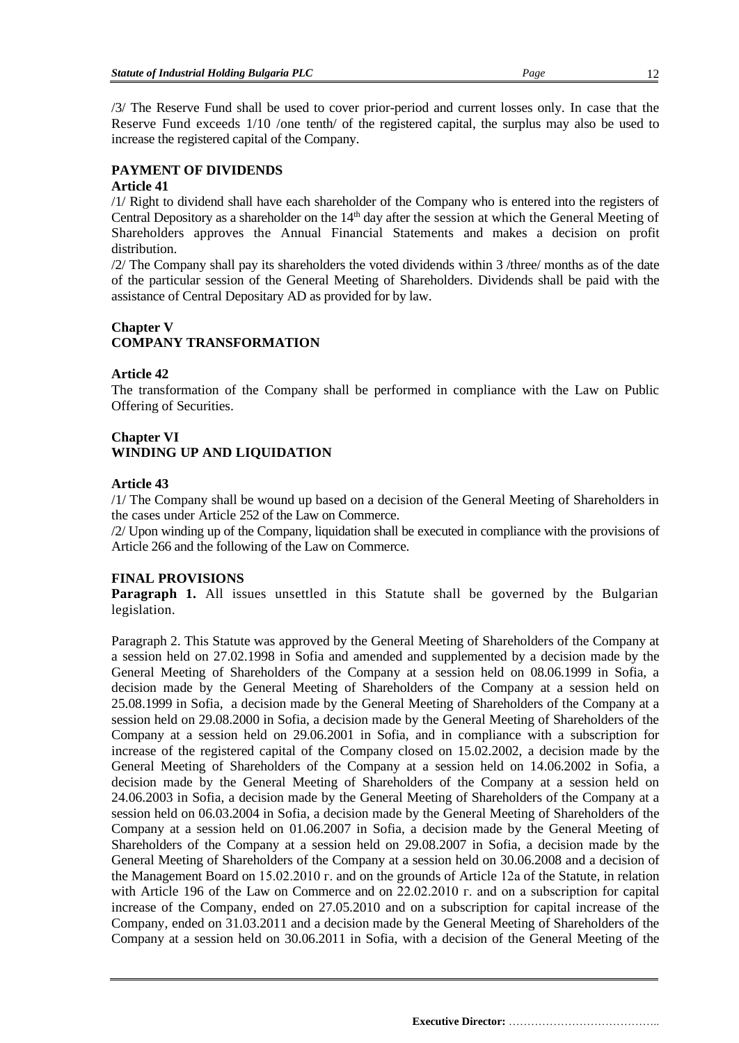12

/3/ The Reserve Fund shall be used to cover prior-period and current losses only. In case that the Reserve Fund exceeds 1/10 /one tenth/ of the registered capital, the surplus may also be used to increase the registered capital of the Company.

## **PAYMENT OF DIVIDENDS**

#### **Article 41**

/1/ Right to dividend shall have each shareholder of the Company who is entered into the registers of Central Depository as a shareholder on the 14<sup>th</sup> day after the session at which the General Meeting of Shareholders approves the Annual Financial Statements and makes a decision on profit distribution.

/2/ The Company shall pay its shareholders the voted dividends within 3 /three/ months as of the date of the particular session of the General Meeting of Shareholders. Dividends shall be paid with the assistance of Central Depositary AD as provided for by law.

## **Chapter V COMPANY TRANSFORMATION**

## **Article 42**

The transformation of the Company shall be performed in compliance with the Law on Public Offering of Securities.

## **Chapter VI WINDING UP AND LIQUIDATION**

#### **Article 43**

/1/ The Company shall be wound up based on a decision of the General Meeting of Shareholders in the cases under Article 252 of the Law on Commerce.

/2/ Upon winding up of the Company, liquidation shall be executed in compliance with the provisions of Article 266 and the following of the Law on Commerce.

## **FINAL PROVISIONS**

**Paragraph 1.** All issues unsettled in this Statute shall be governed by the Bulgarian legislation.

Paragraph 2. This Statute was approved by the General Meeting of Shareholders of the Company at a session held on 27.02.1998 in Sofia and amended and supplemented by a decision made by the General Meeting of Shareholders of the Company at a session held on 08.06.1999 in Sofia, a decision made by the General Meeting of Shareholders of the Company at a session held on 25.08.1999 in Sofia, a decision made by the General Meeting of Shareholders of the Company at a session held on 29.08.2000 in Sofia, a decision made by the General Meeting of Shareholders of the Company at a session held on 29.06.2001 in Sofia, and in compliance with a subscription for increase of the registered capital of the Company closed on 15.02.2002, a decision made by the General Meeting of Shareholders of the Company at a session held on 14.06.2002 in Sofia, a decision made by the General Meeting of Shareholders of the Company at a session held on 24.06.2003 in Sofia, a decision made by the General Meeting of Shareholders of the Company at a session held on 06.03.2004 in Sofia, a decision made by the General Meeting of Shareholders of the Company at a session held on 01.06.2007 in Sofia, a decision made by the General Meeting of Shareholders of the Company at a session held on 29.08.2007 in Sofia, a decision made by the General Meeting of Shareholders of the Company at a session held on 30.06.2008 and a decision of the Management Board on 15.02.2010 г. and on the grounds of Article 12а of the Statute, in relation with Article 196 of the Law on Commerce and on 22.02.2010 г. and on a subscription for capital increase of the Company, ended on 27.05.2010 and on a subscription for capital increase of the Company, ended on 31.03.2011 and a decision made by the General Meeting of Shareholders of the Company at a session held on 30.06.2011 in Sofia, with a decision of the General Meeting of the